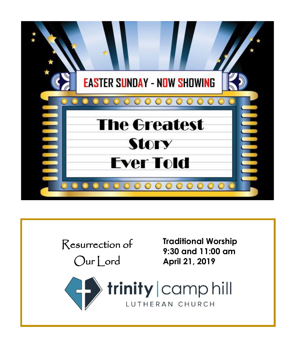

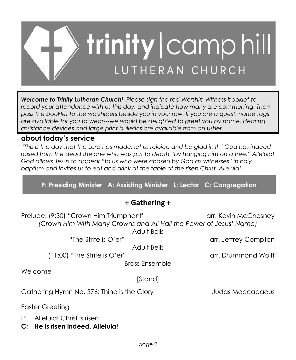

*Welcome to Trinity Lutheran Church! Please sign the red Worship Witness booklet to*  record your attendance with us this day, and indicate how many are communing. Then *pass the booklet to the worshipers beside you in your row. If you are a guest, name tags are available for you to wear---we would be delighted to greet you by name. Hearing assistance devices and large print bulletins are available from an usher.*

### **about today's service**

*"This is the day that the Lord has made; let us rejoice and be glad in it." God has indeed raised from the dead the one who was put to death "by hanging him on a tree." Alleluia! God allows Jesus to appear "to us who were chosen by God as witnesses" in holy baptism and invites us to eat and drink at the table of the risen Christ. Alleluia!*

**P: Presiding Minister A: Assisting Minister L: Lector C: Congregation**

## **+ Gathering +**

Prelude: (9:30) "Crown Him Triumphant" arr. Kevin McChesney *(Crown Him With Many Crowns and All Hail the Power of Jesus' Name)*

Adult Bells

Adult Bells

(11:00) "The Strife is O'er" arr. Drummond Wolff

Brass Ensemble

Welcome

[Stand]

Gathering Hymn No. 376: Thine is the Glory Judas Maccabaeus

Easter Greeting

- P: Alleluia! Christ is risen.
- **C: He is risen indeed. Alleluia!**

"The Strife is O'er" arr. Jeffrey Compton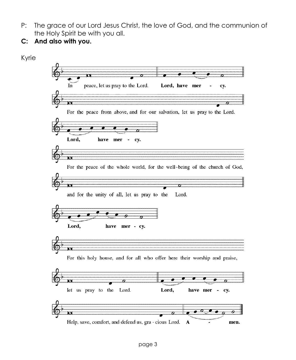- P: The grace of our Lord Jesus Christ, the love of God, and the communion of the Holy Spirit be with you all.
- **C: And also with you.**

Kyrie

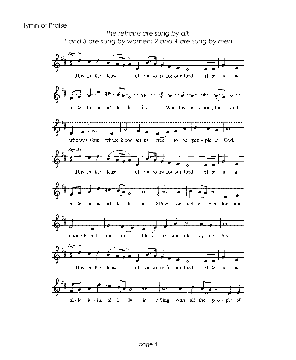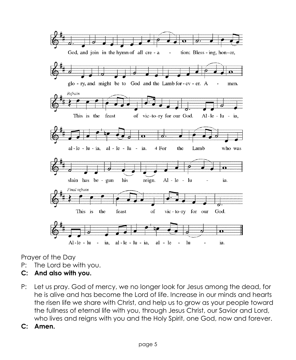

Prayer of the Day

- P: The Lord be with you.
- **C: And also with you.**
- P: Let us pray. God of mercy, we no longer look for Jesus among the dead, for he is alive and has become the Lord of life. Increase in our minds and hearts the risen life we share with Christ, and help us to grow as your people toward the fullness of eternal life with you, through Jesus Christ, our Savior and Lord, who lives and reigns with you and the Holy Spirit, one God, now and forever.
- **C: Amen.**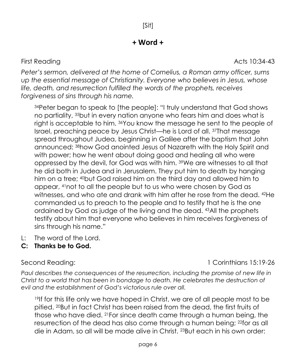## **+ Word +**

*Peter's sermon, delivered at the home of Cornelius, a Roman army officer, sums up the essential message of Christianity. Everyone who believes in Jesus, whose life, death, and resurrection fulfilled the words of the prophets, receives forgiveness of sins through his name.*

<sup>34</sup>Peter began to speak to [the people]: "I truly understand that God shows no partiality, <sup>35</sup>but in every nation anyone who fears him and does what is right is acceptable to him. <sup>36</sup>You know the message he sent to the people of Israel, preaching peace by Jesus Christ—he is Lord of all. <sup>37</sup>That message spread throughout Judea, beginning in Galilee after the baptism that John announced: <sup>38</sup>how God anointed Jesus of Nazareth with the Holy Spirit and with power; how he went about doing good and healing all who were oppressed by the devil, for God was with him. <sup>39</sup>We are witnesses to all that he did both in Judea and in Jerusalem. They put him to death by hanging him on a tree; <sup>40</sup>but God raised him on the third day and allowed him to appear, <sup>41</sup>not to all the people but to us who were chosen by God as witnesses, and who ate and drank with him after he rose from the dead. <sup>42</sup>He commanded us to preach to the people and to testify that he is the one ordained by God as judge of the living and the dead. <sup>43</sup>All the prophets testify about him that everyone who believes in him receives forgiveness of sins through his name."

- L: The word of the Lord.
- **C: Thanks be to God.**

*Paul describes the consequences of the resurrection, including the promise of new life in Christ to a world that has been in bondage to death. He celebrates the destruction of evil and the establishment of God's victorious rule over all.*

<sup>19</sup>If for this life only we have hoped in Christ, we are of all people most to be pitied. 20But in fact Christ has been raised from the dead, the first fruits of those who have died. <sup>21</sup>For since death came through a human being, the resurrection of the dead has also come through a human being; <sup>22</sup>for as all die in Adam, so all will be made alive in Christ. <sup>23</sup>But each in his own order:

Second Reading: 1 Corinthians 15:19-26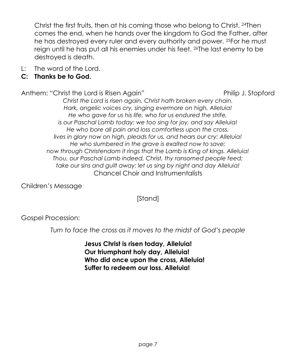Christ the first fruits, then at his coming those who belong to Christ. <sup>24</sup>Then comes the end, when he hands over the kingdom to God the Father, after he has destroyed every ruler and every authority and power. <sup>25</sup>For he must reign until he has put all his enemies under his feet. <sup>26</sup>The last enemy to be destroyed is death.

L: The word of the Lord.

### **C: Thanks be to God.**

Anthem: "Christ the Lord is Risen Again" Philip J. Stopford

*Christ the Lord is risen again, Christ hath broken every chain. Hark, angelic voices cry, singing evermore on high, Alleluia! He who gave for us his life, who for us endured the strife, is our Paschal Lamb today; we too sing for joy, and say Alleluia! He who bore all pain and loss comfortless upon the cross, lives in glory now on high, pleads for us, and hears our cry: Alleluia! He who slumbered in the grave is exalted now to save; now through Christendom it rings that the Lamb is King of kings. Alleluia! Thou, our Paschal Lamb indeed, Christ, thy ransomed people feed; take our sins and guilt away: let us sing by night and day Alleluia!* Chancel Choir and Instrumentalists

Children's Message

[Stand]

Gospel Procession:

*Turn to face the cross as it moves to the midst of God's people*

**Jesus Christ is risen today, Alleluia! Our triumphant holy day, Alleluia! Who did once upon the cross, Alleluia! Suffer to redeem our loss. Alleluia!**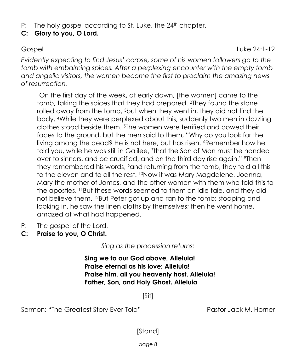P: The holy gospel according to St. Luke, the 24<sup>th</sup> chapter.

## **C: Glory to you, O Lord.**

Gospel Luke 24:1-12

*Evidently expecting to find Jesus' corpse, some of his women followers go to the tomb with embalming spices. After a perplexing encounter with the empty tomb and angelic visitors, the women become the first to proclaim the amazing news of resurrection.*

<sup>1</sup>On the first day of the week, at early dawn, [the women] came to the tomb, taking the spices that they had prepared. <sup>2</sup>They found the stone rolled away from the tomb, <sup>3</sup>but when they went in, they did not find the body. <sup>4</sup>While they were perplexed about this, suddenly two men in dazzling clothes stood beside them. <sup>5</sup>The women were terrified and bowed their faces to the ground, but the men said to them, "Why do you look for the living among the dead? He is not here, but has risen. <sup>6</sup>Remember how he told you, while he was still in Galilee, <sup>7</sup> that the Son of Man must be handed over to sinners, and be crucified, and on the third day rise again." <sup>8</sup>Then they remembered his words, <sup>9</sup>and returning from the tomb, they told all this to the eleven and to all the rest. <sup>10</sup>Now it was Mary Magdalene, Joanna, Mary the mother of James, and the other women with them who told this to the apostles. <sup>11</sup>But these words seemed to them an idle tale, and they did not believe them. <sup>12</sup>But Peter got up and ran to the tomb; stooping and looking in, he saw the linen cloths by themselves; then he went home, amazed at what had happened.

- P: The gospel of the Lord.
- **C: Praise to you, O Christ.**

*Sing as the procession returns:*

**Sing we to our God above, Alleluia! Praise eternal as his love; Alleluia! Praise him, all you heavenly host, Alleluia! Father, Son, and Holy Ghost. Alleluia**

[Sit]

Sermon: "The Greatest Story Ever Told" Pastor Jack M. Horner

[Stand]

page 8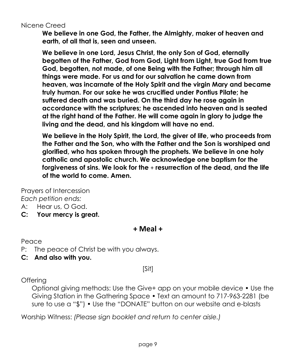Nicene Creed

**We believe in one God, the Father, the Almighty, maker of heaven and earth, of all that is, seen and unseen.** 

**We believe in one Lord, Jesus Christ, the only Son of God, eternally begotten of the Father, God from God, Light from Light, true God from true God, begotten, not made, of one Being with the Father; through him all things were made. For us and for our salvation he came down from heaven, was incarnate of the Holy Spirit and the virgin Mary and became truly human. For our sake he was crucified under Pontius Pilate; he suffered death and was buried. On the third day he rose again in accordance with the scriptures; he ascended into heaven and is seated at the right hand of the Father. He will come again in glory to judge the living and the dead, and his kingdom will have no end.**

**We believe in the Holy Spirit, the Lord, the giver of life, who proceeds from the Father and the Son, who with the Father and the Son is worshiped and glorified, who has spoken through the prophets. We believe in one holy catholic and apostolic church. We acknowledge one baptism for the forgiveness of sins. We look for the** + **resurrection of the dead, and the life of the world to come. Amen.**

Prayers of Intercession *Each petition ends:*

- A: Hear us, O God.
- **C: Your mercy is great.**

**+ Meal +**

Peace

- P: The peace of Christ be with you always.
- **C: And also with you.**

[Sit]

## **Offering**

Optional giving methods: Use the Give+ app on your mobile device • Use the Giving Station in the Gathering Space • Text an amount to 717-963-2281 (be sure to use a "\$") • Use the "DONATE" button on our website and e-blasts

Worship Witness: *(Please sign booklet and return to center aisle.)*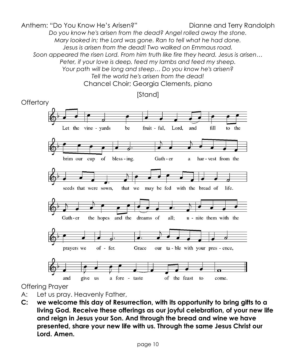Anthem: "Do You Know He's Arisen?" Dianne and Terry Randolph *Do you know he's arisen from the dead? Angel rolled away the stone. Mary looked in; the Lord was gone. Ran to tell what he had done. Jesus is arisen from the dead! Two walked on Emmaus road. Soon appeared the risen Lord. From him truth like fire they heard. Jesus is arisen… Peter, if your love is deep, feed my lambs and feed my sheep. Your path will be long and steep… Do you know he's arisen? Tell the world he's arisen from the dead!* Chancel Choir; Georgia Clements, piano



[Stand]

Offering Prayer

- A: Let us pray. Heavenly Father,
- **C: we welcome this day of Resurrection, with its opportunity to bring gifts to a living God. Receive these offerings as our joyful celebration, of your new life and reign in Jesus your Son. And through the bread and wine we have presented, share your new life with us. Through the same Jesus Christ our Lord. Amen.**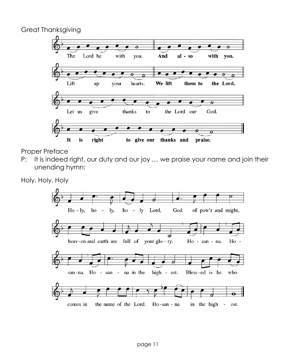Great Thanksgiving



Proper Preface

P: It is indeed right, our duty and our joy ... we praise your name and join their unending hymn:

Holy, Holy, Holy

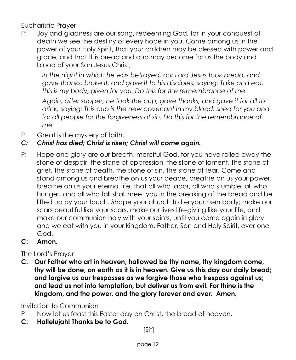Eucharistic Prayer

P: Joy and gladness are our song, redeeming God, for in your conquest of death we see the destiny of every hope in you. Come among us in the power of your Holy Spirit, that your children may be blessed with power and grace, and that this bread and cup may become for us the body and blood of your Son Jesus Christ;

*In the night in which he was betrayed, our Lord Jesus took bread, and gave thanks; broke it, and gave it to his disciples, saying: Take and eat; this is my body, given for you. Do this for the remembrance of me.*

*Again, after supper, he took the cup, gave thanks, and gave it for all to drink, saying: This cup is the new covenant in my blood, shed for you and*  for all people for the forgiveness of sin. Do this for the remembrance of *me.* 

P: Great is the mystery of faith.

## *C: Christ has died; Christ is risen; Christ will come again.*

P: Hope and glory are our breath, merciful God, for you have rolled away the stone of despair, the stone of oppression, the stone of lament, the stone of grief, the stone of death, the stone of sin, the stone of fear. Come and stand among us and breathe on us your peace, breathe on us your power, breathe on us your eternal life, that all who labor, all who stumble, all who hunger, and all who fall shall meet you in the breaking of the bread and be lifted up by your touch. Shape your church to be your risen body; make our scars beautiful like your scars, make our lives life-giving like your life, and make our communion holy with your saints, until you come again in glory and we eat with you in your kingdom, Father, Son and Holy Spirit, ever one God.

## **C: Amen.**

## The Lord's Prayer

**C: Our Father who art in heaven, hallowed be thy name, thy kingdom come, thy will be done, on earth as it is in heaven. Give us this day our daily bread; and forgive us our trespasses as we forgive those who trespass against us; and lead us not into temptation, but deliver us from evil. For thine is the kingdom, and the power, and the glory forever and ever. Amen.**

Invitation to Communion

- P: Now let us feast this Easter day on Christ, the bread of heaven.
- **C: Hallelujah! Thanks be to God.**

[Sit]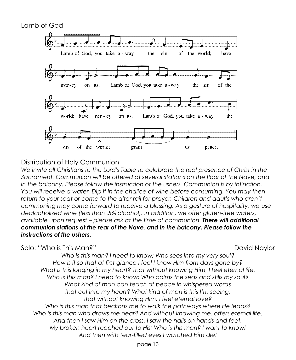

### Distribution of Holy Communion

*We invite all Christians to the Lord's Table to celebrate the real presence of Christ in the Sacrament. Communion will be offered at several stations on the floor of the Nave, and in the balcony. Please follow the instruction of the ushers. Communion is by intinction. You will receive a wafer. Dip it in the chalice of wine before consuming. You may then*  return to your seat or come to the altar rail for prayer. Children and adults who aren't *communing may come forward to receive a blessing. As a gesture of hospitality, we use dealcoholized wine (less than .5% alcohol). In addition, we offer gluten-free wafers, available upon request – please ask at the time of communion. There will additional communion stations at the rear of the Nave, and in the balcony. Please follow the instructions of the ushers.*

Solo: "Who is This Man?" David Naylor

*Who is this man? I need to know; Who sees into my very soul? How is it so that at first glance I feel I know Him from days gone by? What is this longing in my heart? That without knowing Him, I feel eternal life. Who is this man? I need to know; Who calms the seas and stills my soul? What kind of man can teach of peace in whispered words that cut into my heart? What kind of man is this I'm seeing, that without knowing Him, I feel eternal love? Who is this man that beckons me to walk the pathways where He leads? Who is this man who draws me near? And without knowing me, offers eternal life. And then I saw Him on the cross. I saw the nails on hands and feet. My broken heart reached out to His; Who is this man? I want to know! And then with tear-filled eyes I watched Him die!*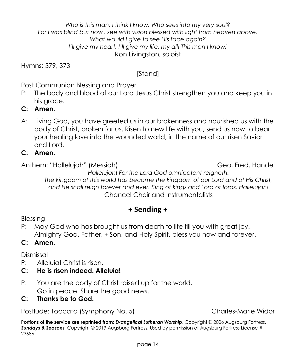**Portions of the service are reprinted from: Evangelical Lutheran Worship**, Copyright © 2006 Augsburg Fortress. *Sundays & Seasons*, Copyright © 2019 Augsburg Fortress. Used by permission of Augsburg Fortress License #

*Who is this man, I think I know, Who sees into my very soul? For I was blind but now I see with vision blessed with light from heaven above. What would I give to see His face again? I'll give my heart, I'll give my life, my all! This man I know!* Ron Livingston, soloist

Hymns: 379, 373

# [Stand]

Post Communion Blessing and Prayer

- P: The body and blood of our Lord Jesus Christ strengthen you and keep you in his arace.
- **C: Amen.**
- A: Living God, you have greeted us in our brokenness and nourished us with the body of Christ, broken for us. Risen to new life with you, send us now to bear your healing love into the wounded world, in the name of our risen Savior and Lord.
- **C: Amen.**

Anthem: "Hallelujah" (Messiah) Geo. Fred. Handel

*Hallelujah! For the Lord God omnipotent reigneth. The kingdom of this world has become the kingdom of our Lord and of His Christ, and He shall reign forever and ever. King of kings and Lord of lords. Hallelujah!* Chancel Choir and Instrumentalists

## **+ Sending +**

Blessing

P: May God who has brought us from death to life fill you with great joy. Almighty God, Father, + Son, and Holy Spirit, bless you now and forever.

## **C: Amen.**

Dismissal

23686.

P: Alleluia! Christ is risen.

## **C: He is risen indeed. Alleluia!**

P: You are the body of Christ raised up for the world. Go in peace. Share the good news.

## **C: Thanks be to God.**

Postlude: Toccata (Symphony No. 5) Charles-Marie Widor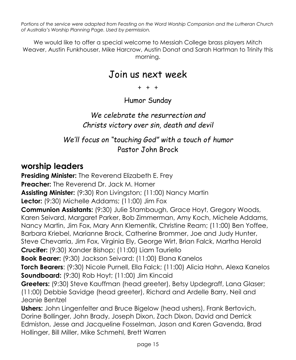*Portions of the service were adapted from Feasting on the Word Worship Companion and the Lutheran Church of Australia's Worship Planning Page. Used by permission.*

We would like to offer a special welcome to Messiah College brass players Mitch Weaver, Austin Funkhouser, Mike Harcrow, Austin Donat and Sarah Hartman to Trinity this morning.

# Join us next week

 $+ + +$ 

Humor Sunday

# *We celebrate the resurrection and Christs victory over sin, death and devil*

# *We'll focus on "touching God" with a touch of humor* Pastor John Brock

# **worship leaders**

**Presiding Minister:** The Reverend Elizabeth E. Frey **Preacher:** The Reverend Dr. Jack M. Horner **Assisting Minister:** (9:30) Ron Livingston; (11:00) Nancy Martin **Lector:** (9:30) Michelle Addams; (11:00) Jim Fox **Communion Assistants:** (9:30) Julie Stambaugh, Grace Hoyt, Gregory Woods, Karen Seivard, Margaret Parker, Bob Zimmerman, Amy Koch, Michele Addams, Nancy Martin, Jim Fox, Mary Ann Klementik, Christine Ream; (11:00) Ben Yoffee, Barbara Kriebel, Marianne Brock, Catherine Brommer, Joe and Judy Hunter, Steve Chevarria, Jim Fox, Virginia Ely, George Wirt, Brian Falck, Martha Herold **Crucifer:** (9:30) Xander Bishop; (11:00) Liam Tauriello **Book Bearer:** (9:30) Jackson Seivard; (11:00) Elana Kanelos **Torch Bearers**: (9:30) Nicole Purnell, Ella Falck; (11:00) Alicia Hahn, Alexa Kanelos **Soundboard:** (9:30) Rob Hoyt; (11:00) Jim Kincaid **Greeters:** (9:30) Steve Kauffman (head greeter), Betsy Updegraff, Lana Glaser; (11:00) Debbie Savidge (head greeter), Richard and Ardelle Barry, Neil and Jeanie Bentzel **Ushers:** John Lingenfelter and Bruce Bigelow (head ushers), Frank Bertovich, Dorine Bollinger, John Brady, Joseph Dixon, Zach Dixon, David and Derrick Edmiston, Jesse and Jacqueline Fosselman, Jason and Karen Gavenda, Brad

Hollinger, Bill Miller, Mike Schmehl, Brett Warren